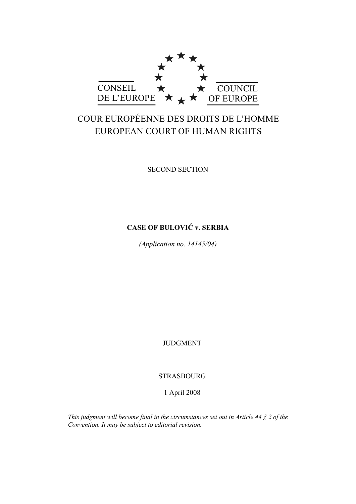

# COUR EUROPÉENNE DES DROITS DE L'HOMME EUROPEAN COURT OF HUMAN RIGHTS

SECOND SECTION

# **CASE OF BULOVIĆ v. SERBIA**

*(Application no. 14145/04)* 

JUDGMENT

STRASBOURG

1 April 2008

*This judgment will become final in the circumstances set out in Article 44 § 2 of the Convention. It may be subject to editorial revision.*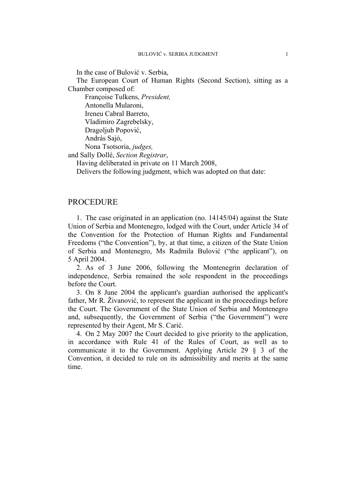In the case of Bulović v. Serbia,

The European Court of Human Rights (Second Section), sitting as a Chamber composed of:

 Françoise Tulkens, *President,*  Antonella Mularoni, Ireneu Cabral Barreto, Vladimiro Zagrebelsky, Dragoljub Popović, András Sajó, Nona Tsotsoria, *judges,* and Sally Dollé, *Section Registrar*,

Having deliberated in private on 11 March 2008,

Delivers the following judgment, which was adopted on that date:

## PROCEDURE

1. The case originated in an application (no. 14145/04) against the State Union of Serbia and Montenegro, lodged with the Court, under Article 34 of the Convention for the Protection of Human Rights and Fundamental Freedoms ("the Convention"), by, at that time, a citizen of the State Union of Serbia and Montenegro, Ms Radmila Bulović ("the applicant"), on 5 April 2004.

2. As of 3 June 2006, following the Montenegrin declaration of independence, Serbia remained the sole respondent in the proceedings before the Court.

3. On 8 June 2004 the applicant's guardian authorised the applicant's father, Mr R. Živanović, to represent the applicant in the proceedings before the Court. The Government of the State Union of Serbia and Montenegro and, subsequently, the Government of Serbia ("the Government") were represented by their Agent, Mr S. Carić.

4. On 2 May 2007 the Court decided to give priority to the application, in accordance with Rule 41 of the Rules of Court, as well as to communicate it to the Government. Applying Article 29 § 3 of the Convention, it decided to rule on its admissibility and merits at the same time.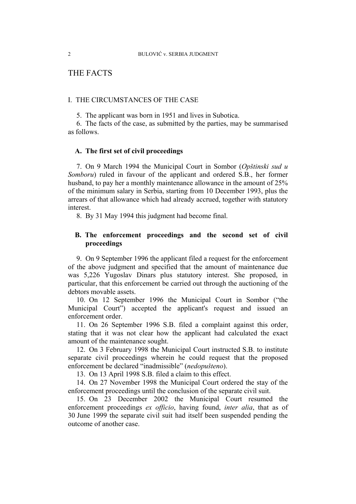# THE FACTS

#### I. THE CIRCUMSTANCES OF THE CASE

5. The applicant was born in 1951 and lives in Subotica.

6. The facts of the case, as submitted by the parties, may be summarised as follows.

#### **A. The first set of civil proceedings**

7. On 9 March 1994 the Municipal Court in Sombor (*Opštinski sud u Somboru*) ruled in favour of the applicant and ordered S.B., her former husband, to pay her a monthly maintenance allowance in the amount of 25% of the minimum salary in Serbia, starting from 10 December 1993, plus the arrears of that allowance which had already accrued, together with statutory interest.

8. By 31 May 1994 this judgment had become final.

# **B. The enforcement proceedings and the second set of civil proceedings**

9. On 9 September 1996 the applicant filed a request for the enforcement of the above judgment and specified that the amount of maintenance due was 5,226 Yugoslav Dinars plus statutory interest. She proposed, in particular, that this enforcement be carried out through the auctioning of the debtors movable assets.

10. On 12 September 1996 the Municipal Court in Sombor ("the Municipal Court") accepted the applicant's request and issued an enforcement order.

11. On 26 September 1996 S.B. filed a complaint against this order, stating that it was not clear how the applicant had calculated the exact amount of the maintenance sought.

12. On 3 February 1998 the Municipal Court instructed S.B. to institute separate civil proceedings wherein he could request that the proposed enforcement be declared "inadmissible" (*nedopušteno*).

13. On 13 April 1998 S.B. filed a claim to this effect.

14. On 27 November 1998 the Municipal Court ordered the stay of the enforcement proceedings until the conclusion of the separate civil suit.

15. On 23 December 2002 the Municipal Court resumed the enforcement proceedings *ex officio*, having found, *inter alia*, that as of 30 June 1999 the separate civil suit had itself been suspended pending the outcome of another case.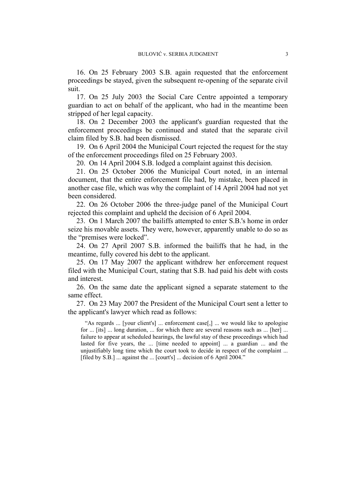16. On 25 February 2003 S.B. again requested that the enforcement proceedings be stayed, given the subsequent re-opening of the separate civil suit.

17. On 25 July 2003 the Social Care Centre appointed a temporary guardian to act on behalf of the applicant, who had in the meantime been stripped of her legal capacity.

18. On 2 December 2003 the applicant's guardian requested that the enforcement proceedings be continued and stated that the separate civil claim filed by S.B. had been dismissed.

19. On 6 April 2004 the Municipal Court rejected the request for the stay of the enforcement proceedings filed on 25 February 2003.

20. On 14 April 2004 S.B. lodged a complaint against this decision.

21. On 25 October 2006 the Municipal Court noted, in an internal document, that the entire enforcement file had, by mistake, been placed in another case file, which was why the complaint of 14 April 2004 had not yet been considered.

22. On 26 October 2006 the three-judge panel of the Municipal Court rejected this complaint and upheld the decision of 6 April 2004.

23. On 1 March 2007 the bailiffs attempted to enter S.B.'s home in order seize his movable assets. They were, however, apparently unable to do so as the "premises were locked".

24. On 27 April 2007 S.B. informed the bailiffs that he had, in the meantime, fully covered his debt to the applicant.

25. On 17 May 2007 the applicant withdrew her enforcement request filed with the Municipal Court, stating that S.B. had paid his debt with costs and interest.

26. On the same date the applicant signed a separate statement to the same effect.

27. On 23 May 2007 the President of the Municipal Court sent a letter to the applicant's lawyer which read as follows:

"As regards ... [your client's] ... enforcement case[,] ... we would like to apologise for ... [its] ... long duration, ... for which there are several reasons such as ... [her] ... failure to appear at scheduled hearings, the lawful stay of these proceedings which had lasted for five years, the ... [time needed to appoint] ... a guardian ... and the unjustifiably long time which the court took to decide in respect of the complaint ... [filed by S.B.] ... against the ... [court's] ... decision of 6 April 2004."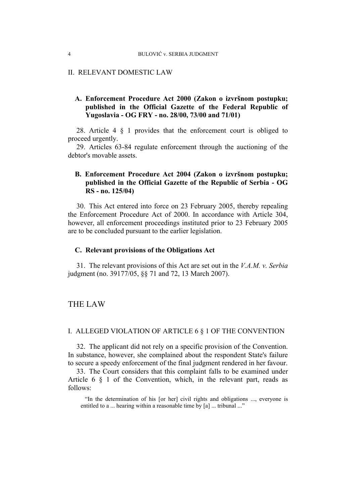#### II. RELEVANT DOMESTIC LAW

# **A. Enforcement Procedure Act 2000 (Zakon o izvršnom postupku; published in the Official Gazette of the Federal Republic of Yugoslavia - OG FRY - no. 28/00, 73/00 and 71/01)**

28. Article 4 § 1 provides that the enforcement court is obliged to proceed urgently.

29. Articles 63-84 regulate enforcement through the auctioning of the debtor's movable assets.

# **B. Enforcement Procedure Act 2004 (Zakon o izvršnom postupku; published in the Official Gazette of the Republic of Serbia - OG RS - no. 125/04)**

30. This Act entered into force on 23 February 2005, thereby repealing the Enforcement Procedure Act of 2000. In accordance with Article 304, however, all enforcement proceedings instituted prior to 23 February 2005 are to be concluded pursuant to the earlier legislation.

#### **C. Relevant provisions of the Obligations Act**

31. The relevant provisions of this Act are set out in the *V.A.M. v. Serbia*  judgment (no. 39177/05, §§ 71 and 72, 13 March 2007).

# THE LAW

#### I. ALLEGED VIOLATION OF ARTICLE 6 § 1 OF THE CONVENTION

32. The applicant did not rely on a specific provision of the Convention. In substance, however, she complained about the respondent State's failure to secure a speedy enforcement of the final judgment rendered in her favour.

33. The Court considers that this complaint falls to be examined under Article 6 § 1 of the Convention, which, in the relevant part, reads as follows:

"In the determination of his [or her] civil rights and obligations ..., everyone is entitled to a ... hearing within a reasonable time by [a] ... tribunal ..."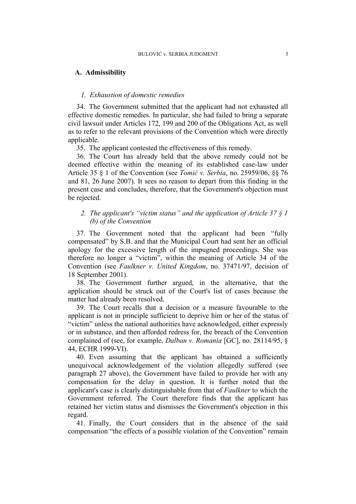#### **A. Admissibility**

#### *1. Exhaustion of domestic remedies*

34. The Government submitted that the applicant had not exhausted all effective domestic remedies. In particular, she had failed to bring a separate civil lawsuit under Articles 172, 199 and 200 of the Obligations Act, as well as to refer to the relevant provisions of the Convention which were directly applicable.

35. The applicant contested the effectiveness of this remedy.

36. The Court has already held that the above remedy could not be deemed effective within the meaning of its established case-law under Article 35 § 1 of the Convention (see *Tomić v. Serbia*, no. 25959/06, §§ 76 and 81, 26 June 2007). It sees no reason to depart from this finding in the present case and concludes, therefore, that the Government's objection must be rejected.

# *2. The applicant's "victim status" and the application of Article 37 § 1 (b) of the Convention*

37. The Government noted that the applicant had been "fully compensated" by S.B. and that the Municipal Court had sent her an official apology for the excessive length of the impugned proceedings. She was therefore no longer a "victim", within the meaning of Article 34 of the Convention (see *Faulkner v. United Kingdom*, no. 37471/97, decision of 18 September 2001).

38. The Government further argued, in the alternative, that the application should be struck out of the Court's list of cases because the matter had already been resolved.

39. The Court recalls that a decision or a measure favourable to the applicant is not in principle sufficient to deprive him or her of the status of "victim" unless the national authorities have acknowledged, either expressly or in substance, and then afforded redress for, the breach of the Convention complained of (see, for example, *Dalban v. Romania* [GC], no. 28114/95, § 44, ECHR 1999-VI).

40. Even assuming that the applicant has obtained a sufficiently unequivocal acknowledgement of the violation allegedly suffered (see paragraph 27 above), the Government have failed to provide her with any compensation for the delay in question. It is further noted that the applicant's case is clearly distinguishable from that of *Faulkner* to which the Government referred. The Court therefore finds that the applicant has retained her victim status and dismisses the Government's objection in this regard.

41. Finally, the Court considers that in the absence of the said compensation "the effects of a possible violation of the Convention" remain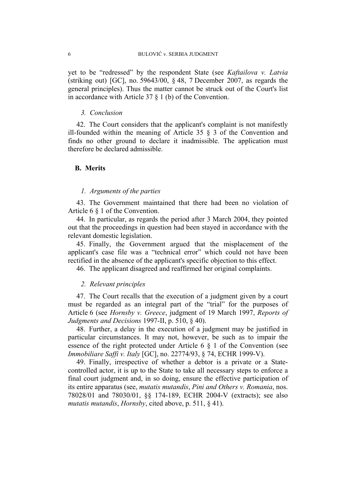yet to be "redressed" by the respondent State (see *Kaftailova v. Latvia* (striking out) [GC], no. 59643/00, § 48, 7 December 2007, as regards the general principles). Thus the matter cannot be struck out of the Court's list in accordance with Article 37 § 1 (b) of the Convention.

#### *3. Conclusion*

42. The Court considers that the applicant's complaint is not manifestly ill-founded within the meaning of Article 35 § 3 of the Convention and finds no other ground to declare it inadmissible. The application must therefore be declared admissible.

#### **B. Merits**

#### *1. Arguments of the parties*

43. The Government maintained that there had been no violation of Article 6 § 1 of the Convention.

44. In particular, as regards the period after 3 March 2004, they pointed out that the proceedings in question had been stayed in accordance with the relevant domestic legislation.

45. Finally, the Government argued that the misplacement of the applicant's case file was a "technical error" which could not have been rectified in the absence of the applicant's specific objection to this effect.

46. The applicant disagreed and reaffirmed her original complaints.

#### *2. Relevant principles*

47. The Court recalls that the execution of a judgment given by a court must be regarded as an integral part of the "trial" for the purposes of Article 6 (see *Hornsby v. Greece*, judgment of 19 March 1997, *Reports of Judgments and Decisions* 1997-II, p. 510, § 40).

48. Further, a delay in the execution of a judgment may be justified in particular circumstances. It may not, however, be such as to impair the essence of the right protected under Article 6 § 1 of the Convention (see *Immobiliare Saffi v. Italy* [GC], no. 22774/93, § 74, ECHR 1999-V).

49. Finally, irrespective of whether a debtor is a private or a Statecontrolled actor, it is up to the State to take all necessary steps to enforce a final court judgment and, in so doing, ensure the effective participation of its entire apparatus (see, *mutatis mutandis*, *Pini and Others v. Romania*, nos. 78028/01 and 78030/01, §§ 174-189, ECHR 2004-V (extracts); see also *mutatis mutandis*, *Hornsby*, cited above, p. 511, § 41).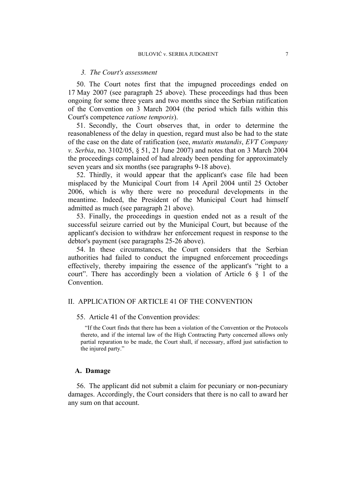#### *3. The Court's assessment*

50. The Court notes first that the impugned proceedings ended on 17 May 2007 (see paragraph 25 above). These proceedings had thus been ongoing for some three years and two months since the Serbian ratification of the Convention on 3 March 2004 (the period which falls within this Court's competence *ratione temporis*).

51. Secondly, the Court observes that, in order to determine the reasonableness of the delay in question, regard must also be had to the state of the case on the date of ratification (see, *mutatis mutandis*, *EVT Company v. Serbia*, no. 3102/05, § 51, 21 June 2007) and notes that on 3 March 2004 the proceedings complained of had already been pending for approximately seven years and six months (see paragraphs 9-18 above).

52. Thirdly, it would appear that the applicant's case file had been misplaced by the Municipal Court from 14 April 2004 until 25 October 2006, which is why there were no procedural developments in the meantime. Indeed, the President of the Municipal Court had himself admitted as much (see paragraph 21 above).

53. Finally, the proceedings in question ended not as a result of the successful seizure carried out by the Municipal Court, but because of the applicant's decision to withdraw her enforcement request in response to the debtor's payment (see paragraphs 25-26 above).

54. In these circumstances, the Court considers that the Serbian authorities had failed to conduct the impugned enforcement proceedings effectively, thereby impairing the essence of the applicant's "right to a court". There has accordingly been a violation of Article 6 § 1 of the **Convention** 

### II. APPLICATION OF ARTICLE 41 OF THE CONVENTION

#### 55. Article 41 of the Convention provides:

"If the Court finds that there has been a violation of the Convention or the Protocols thereto, and if the internal law of the High Contracting Party concerned allows only partial reparation to be made, the Court shall, if necessary, afford just satisfaction to the injured party."

#### **A. Damage**

56. The applicant did not submit a claim for pecuniary or non-pecuniary damages. Accordingly, the Court considers that there is no call to award her any sum on that account.